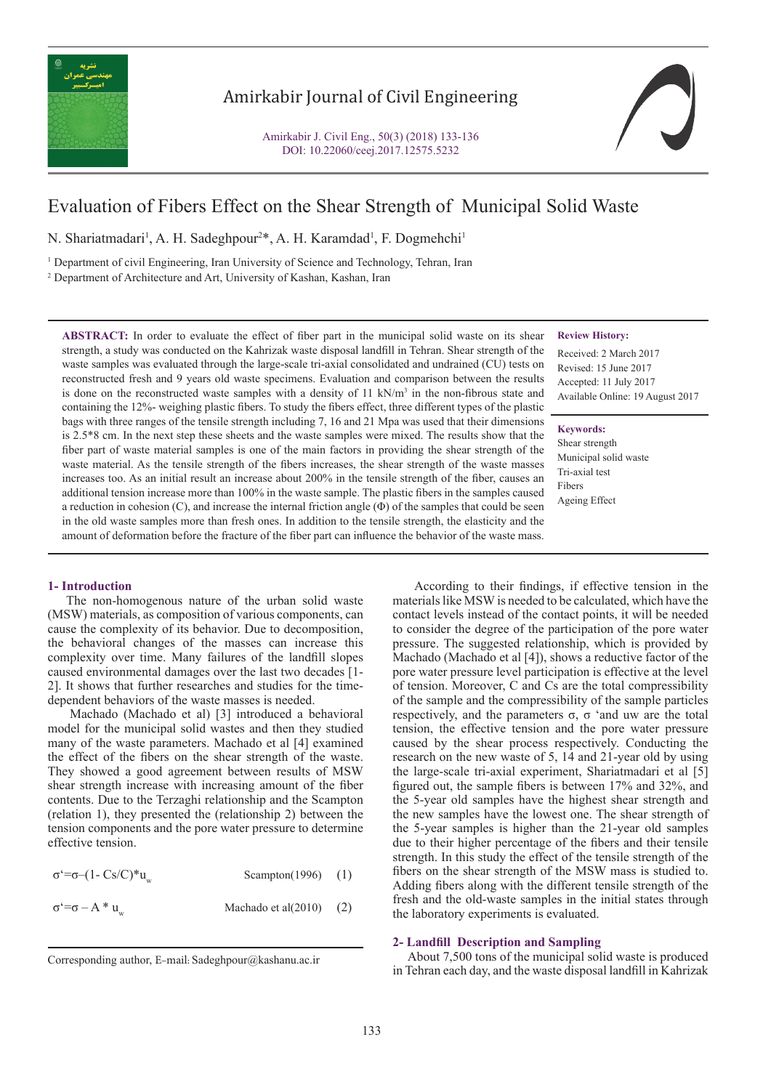

## Amirkabir Journal of Civil Engineering

Amirkabir J. Civil Eng., 50(3) (2018) 133-136 DOI: 10.22060/ceej.2017.12575.5232



# Evaluation of Fibers Effect on the Shear Strength of Municipal Solid Waste

N. Shariatmadari<sup>1</sup>, A. H. Sadeghpour<sup>2\*</sup>, A. H. Karamdad<sup>1</sup>, F. Dogmehchi<sup>1</sup>

1 Department of civil Engineering, Iran University of Science and Technology, Tehran, Iran

2 Department of Architecture and Art, University of Kashan, Kashan, Iran

**ABSTRACT:** In order to evaluate the effect of fiber part in the municipal solid waste on its shear strength, a study was conducted on the Kahrizak waste disposal landfill in Tehran. Shear strength of the waste samples was evaluated through the large-scale tri-axial consolidated and undrained (CU) tests on reconstructed fresh and 9 years old waste specimens. Evaluation and comparison between the results is done on the reconstructed waste samples with a density of  $11 \text{ kN/m}^3$  in the non-fibrous state and containing the 12%- weighing plastic fibers. To study the fibers effect, three different types of the plastic bags with three ranges of the tensile strength including 7, 16 and 21 Mpa was used that their dimensions is 2.5\*8 cm. In the next step these sheets and the waste samples were mixed. The results show that the fiber part of waste material samples is one of the main factors in providing the shear strength of the waste material. As the tensile strength of the fibers increases, the shear strength of the waste masses increases too. As an initial result an increase about 200% in the tensile strength of the fiber, causes an additional tension increase more than 100% in the waste sample. The plastic fibers in the samples caused a reduction in cohesion  $(C)$ , and increase the internal friction angle  $(\Phi)$  of the samples that could be seen in the old waste samples more than fresh ones. In addition to the tensile strength, the elasticity and the amount of deformation before the fracture of the fiber part can influence the behavior of the waste mass.

### **Review History:**

Received: 2 March 2017 Revised: 15 June 2017 Accepted: 11 July 2017 Available Online: 19 August 2017

#### **Keywords:**

Shear strength Municipal solid waste Tri-axial test Fibers Ageing Effect

#### **1- Introduction**

 The non-homogenous nature of the urban solid waste (MSW) materials, as composition of various components, can cause the complexity of its behavior. Due to decomposition, the behavioral changes of the masses can increase this complexity over time. Many failures of the landfill slopes caused environmental damages over the last two decades [1- 2]. It shows that further researches and studies for the timedependent behaviors of the waste masses is needed.

 Machado (Machado et al) [3] introduced a behavioral model for the municipal solid wastes and then they studied many of the waste parameters. Machado et al [4] examined the effect of the fibers on the shear strength of the waste. They showed a good agreement between results of MSW shear strength increase with increasing amount of the fiber contents. Due to the Terzaghi relationship and the Scampton (relation 1), they presented the (relationship 2) between the tension components and the pore water pressure to determine effective tension.

| $\sigma^2 = \sigma - (1 - Cs/C)^* u$ | Scampton(1996) $(1)$       |  |
|--------------------------------------|----------------------------|--|
| $\sigma^2 = \sigma - A^* u$          | Machado et al $(2010)$ (2) |  |

 According to their findings, if effective tension in the materials like MSW is needed to be calculated, which have the contact levels instead of the contact points, it will be needed to consider the degree of the participation of the pore water pressure. The suggested relationship, which is provided by Machado (Machado et al [4]), shows a reductive factor of the pore water pressure level participation is effective at the level of tension. Moreover, C and Cs are the total compressibility of the sample and the compressibility of the sample particles respectively, and the parameters  $\sigma$ ,  $\sigma$  'and uw are the total tension, the effective tension and the pore water pressure caused by the shear process respectively. Conducting the research on the new waste of 5, 14 and 21-year old by using the large-scale tri-axial experiment, Shariatmadari et al [5] figured out, the sample fibers is between 17% and 32%, and the 5-year old samples have the highest shear strength and the new samples have the lowest one. The shear strength of the 5-year samples is higher than the 21-year old samples due to their higher percentage of the fibers and their tensile strength. In this study the effect of the tensile strength of the fibers on the shear strength of the MSW mass is studied to. Adding fibers along with the different tensile strength of the fresh and the old-waste samples in the initial states through the laboratory experiments is evaluated.

#### **2- Landfill Description and Sampling**

 About 7,500 tons of the municipal solid waste is produced Corresponding author, E-mail: Sadeghpour@kashanu.ac.ir<br>in Tehran each day, and the waste disposal landfill in Kahrizak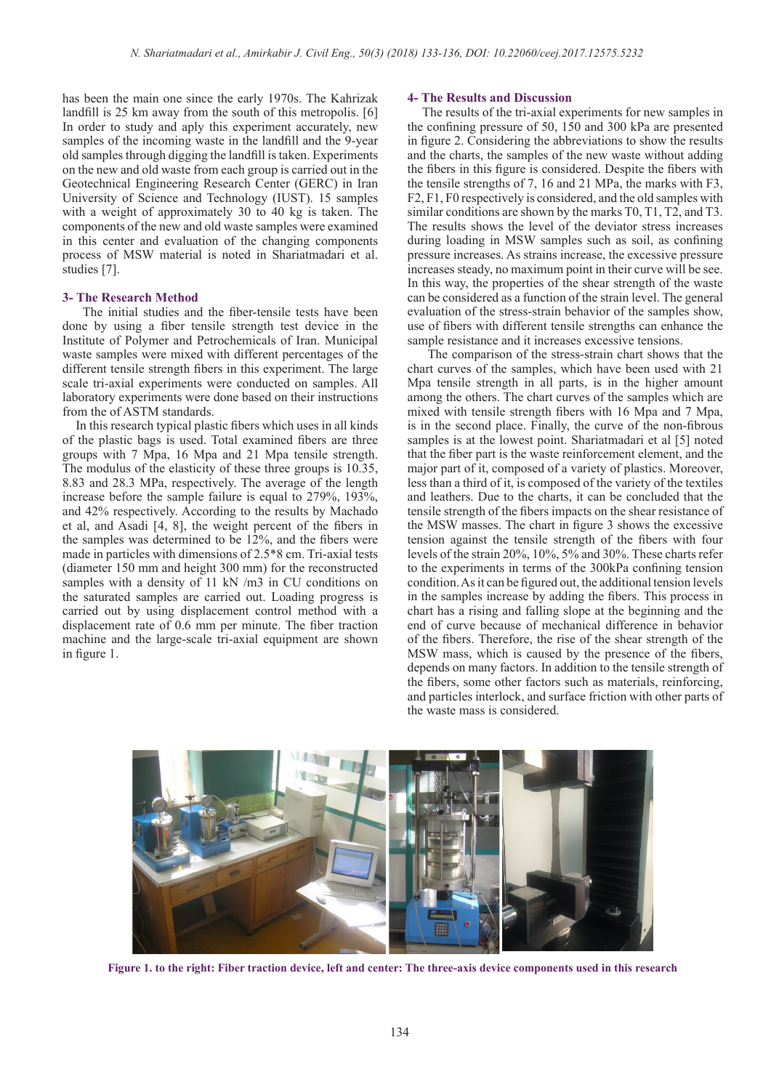has been the main one since the early 1970s. The Kahrizak landfill is 25 km away from the south of this metropolis. [6] In order to study and aply this experiment accurately, new samples of the incoming waste in the landfill and the 9-year old samples through digging the landfill is taken. Experiments on the new and old waste from each group is carried out in the Geotechnical Engineering Research Center (GERC) in Iran University of Science and Technology (IUST). 15 samples with a weight of approximately 30 to 40 kg is taken. The components of the new and old waste samples were examined in this center and evaluation of the changing components process of MSW material is noted in Shariatmadari et al. studies [7].

#### **3- The Research Method**

 The initial studies and the fiber-tensile tests have been done by using a fiber tensile strength test device in the Institute of Polymer and Petrochemicals of Iran. Municipal waste samples were mixed with different percentages of the different tensile strength fibers in this experiment. The large scale tri-axial experiments were conducted on samples. All laboratory experiments were done based on their instructions from the of ASTM standards.

 In this research typical plastic fibers which uses in all kinds of the plastic bags is used. Total examined fibers are three groups with 7 Mpa, 16 Mpa and 21 Mpa tensile strength. The modulus of the elasticity of these three groups is 10.35, 8.83 and 28.3 MPa, respectively. The average of the length increase before the sample failure is equal to 279%, 193%, and 42% respectively. According to the results by Machado et al, and Asadi [4, 8], the weight percent of the fibers in the samples was determined to be 12%, and the fibers were made in particles with dimensions of 2.5\*8 cm. Tri-axial tests (diameter 150 mm and height 300 mm) for the reconstructed samples with a density of 11 kN /m3 in CU conditions on the saturated samples are carried out. Loading progress is carried out by using displacement control method with a displacement rate of 0.6 mm per minute. The fiber traction machine and the large-scale tri-axial equipment are shown in figure 1.

#### **4- The Results and Discussion**

 The results of the tri-axial experiments for new samples in the confining pressure of 50, 150 and 300 kPa are presented in figure 2. Considering the abbreviations to show the results and the charts, the samples of the new waste without adding the fibers in this figure is considered. Despite the fibers with the tensile strengths of 7, 16 and 21 MPa, the marks with F3, F2, F1, F0 respectively is considered, and the old samples with similar conditions are shown by the marks T0, T1, T2, and T3. The results shows the level of the deviator stress increases during loading in MSW samples such as soil, as confining pressure increases. As strains increase, the excessive pressure increases steady, no maximum point in their curve will be see. In this way, the properties of the shear strength of the waste can be considered as a function of the strain level. The general evaluation of the stress-strain behavior of the samples show, use of fibers with different tensile strengths can enhance the sample resistance and it increases excessive tensions.

 The comparison of the stress-strain chart shows that the chart curves of the samples, which have been used with 21 Mpa tensile strength in all parts, is in the higher amount among the others. The chart curves of the samples which are mixed with tensile strength fibers with 16 Mpa and 7 Mpa, is in the second place. Finally, the curve of the non-fibrous samples is at the lowest point. Shariatmadari et al [5] noted that the fiber part is the waste reinforcement element, and the major part of it, composed of a variety of plastics. Moreover, less than a third of it, is composed of the variety of the textiles and leathers. Due to the charts, it can be concluded that the tensile strength of the fibers impacts on the shear resistance of the MSW masses. The chart in figure 3 shows the excessive tension against the tensile strength of the fibers with four levels of the strain 20%, 10%, 5% and 30%. These charts refer to the experiments in terms of the 300kPa confining tension condition. As it can be figured out, the additional tension levels in the samples increase by adding the fibers. This process in chart has a rising and falling slope at the beginning and the end of curve because of mechanical difference in behavior of the fibers. Therefore, the rise of the shear strength of the MSW mass, which is caused by the presence of the fibers, depends on many factors. In addition to the tensile strength of the fibers, some other factors such as materials, reinforcing, and particles interlock, and surface friction with other parts of the waste mass is considered.



**Figure 1. to the right: Fiber traction device, left and center: The three-axis device components used in this research**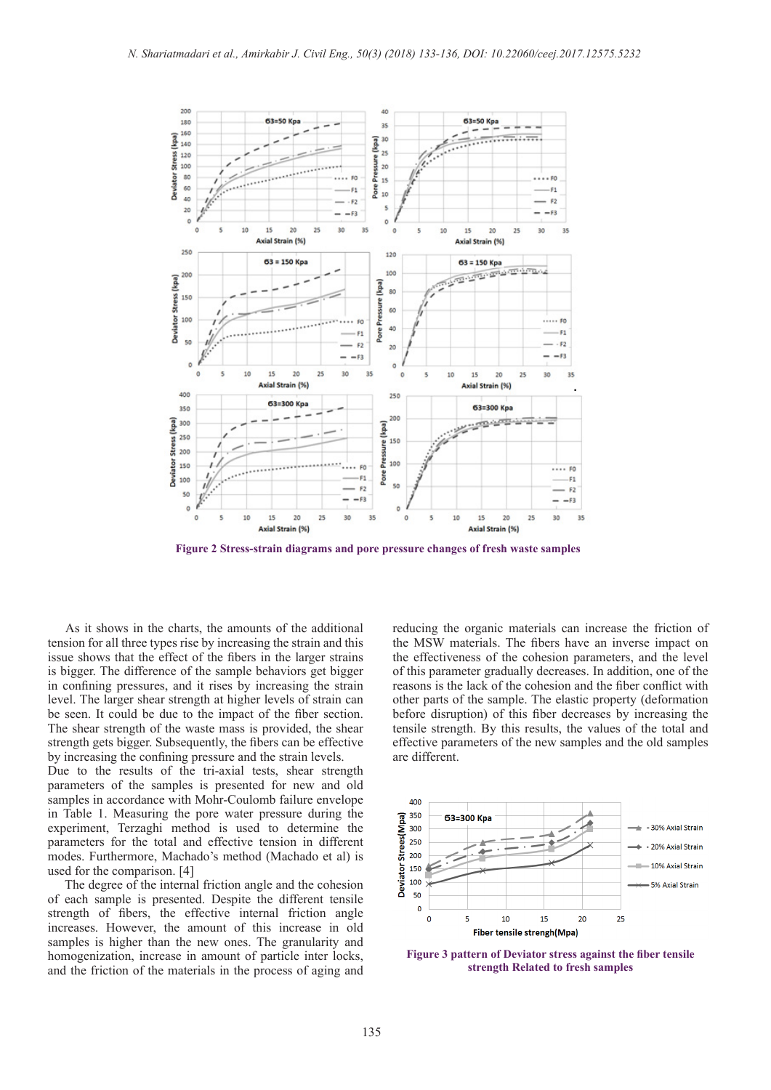

**Figure 2 Stress-strain diagrams and pore pressure changes of fresh waste samples**

 As it shows in the charts, the amounts of the additional tension for all three types rise by increasing the strain and this issue shows that the effect of the fibers in the larger strains is bigger. The difference of the sample behaviors get bigger in confining pressures, and it rises by increasing the strain level. The larger shear strength at higher levels of strain can be seen. It could be due to the impact of the fiber section. The shear strength of the waste mass is provided, the shear strength gets bigger. Subsequently, the fibers can be effective by increasing the confining pressure and the strain levels.

Due to the results of the tri-axial tests, shear strength parameters of the samples is presented for new and old samples in accordance with Mohr-Coulomb failure envelope in Table 1. Measuring the pore water pressure during the experiment, Terzaghi method is used to determine the parameters for the total and effective tension in different modes. Furthermore, Machado's method (Machado et al) is used for the comparison. [4]

 The degree of the internal friction angle and the cohesion of each sample is presented. Despite the different tensile strength of fibers, the effective internal friction angle increases. However, the amount of this increase in old samples is higher than the new ones. The granularity and homogenization, increase in amount of particle inter locks, and the friction of the materials in the process of aging and reducing the organic materials can increase the friction of the MSW materials. The fibers have an inverse impact on the effectiveness of the cohesion parameters, and the level of this parameter gradually decreases. In addition, one of the reasons is the lack of the cohesion and the fiber conflict with other parts of the sample. The elastic property (deformation before disruption) of this fiber decreases by increasing the tensile strength. By this results, the values of the total and effective parameters of the new samples and the old samples are different.



**Figure 3 pattern of Deviator stress against the fiber tensile strength Related to fresh samples**